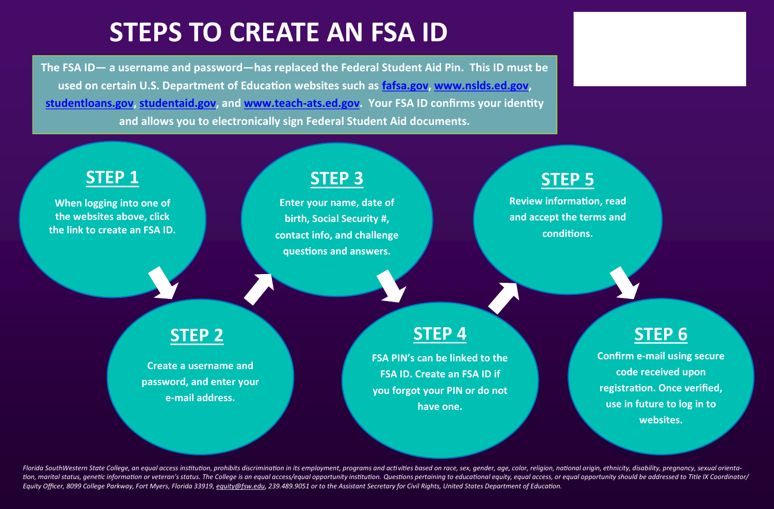# **STEPS TO CREATE AN FSA ID**

**The FSA ID— a username and password—has replaced the Federal Student Aid Pin. This ID must be used on certain U.S. Department of Education websites such as [fafsa.gov,](https://fafsa.ed.gov/) [www.nslds.ed.gov,](https://www.nslds.ed.gov/nslds/nslds_SA/)  [studentloans.gov,](https://studentloans.gov/myDirectLoan/index.action) [studentaid.gov,](https://studentaid.ed.gov/sa/) and [www.teach](http://www.teach-ats.ed.gov)-ats.ed.gov. Your FSA ID confirms your identity and allows you to electronically sign Federal Student Aid documents.**



Florida SouthWestern State College, an equal access institution, prohibits discrimination in its employment, programs and activities based on race, sex, gender, age, color, religion, national origin, ethnicity, disability, tion, marital status, genetic information or veteran's status. The College is an equal access/equal opportunity institution. Questions pertaining to educational equity, equal access, or equal opportunity should be addresse Equity Officer, 8099 College Parkway, Fort Myers, Florida 33919, [equity@fsw.edu,](mailto:equity@fsw.edu) 239.489.9051 or to the Assistant Secretary for Civil Rights, United States Department of Education.